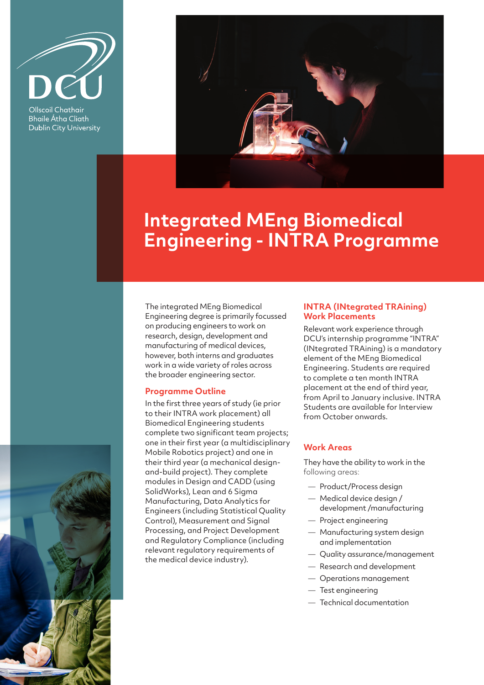

Ollscoil Chathair **Bhaile Átha Cliath Dublin City University** 



# **Integrated MEng Biomedical Engineering - INTRA Programme**

The integrated MEng Biomedical Engineering degree is primarily focussed on producing engineers to work on research, design, development and manufacturing of medical devices, however, both interns and graduates work in a wide variety of roles across the broader engineering sector.

### **Programme Outline**

In the first three years of study (ie prior to their INTRA work placement) all Biomedical Engineering students complete two significant team projects; one in their first year (a multidisciplinary Mobile Robotics project) and one in their third year (a mechanical designand-build project). They complete modules in Design and CADD (using SolidWorks), Lean and 6 Sigma Manufacturing, Data Analytics for Engineers (including Statistical Quality Control), Measurement and Signal Processing, and Project Development and Regulatory Compliance (including relevant regulatory requirements of the medical device industry).

#### **INTRA (INtegrated TRAining) Work Placements**

Relevant work experience through DCU's internship programme "INTRA" (INtegrated TRAining) is a mandatory element of the MEng Biomedical Engineering. Students are required to complete a ten month INTRA placement at the end of third year, from April to January inclusive. INTRA Students are available for Interview from October onwards.

#### **Work Areas**

They have the ability to work in the following areas:

- Product/Process design
- Medical device design / development /manufacturing
- Project engineering
- Manufacturing system design and implementation
- Quality assurance/management
- Research and development
- Operations management
- Test engineering
- Technical documentation